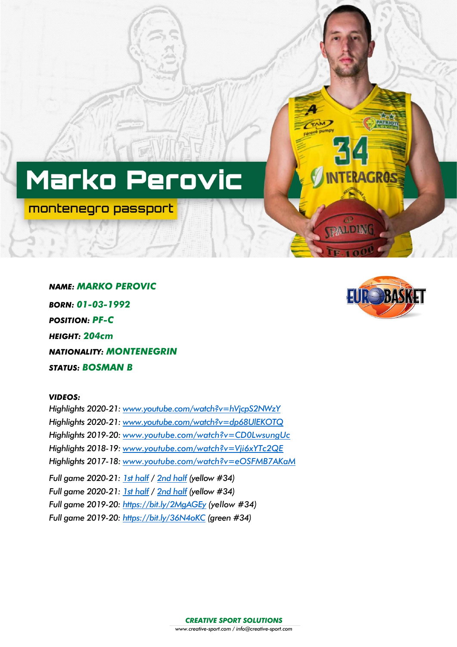# Marko Perovic

montenegro passport

*NAME: MARKO PEROVIC BORN: 01-03-1992 POSITION: PF-C HEIGHT: 204cm NATIONALITY: MONTENEGRIN STATUS: BOSMAN B*

## *VIDEOS:*

*Highlights 2020-21: [www.youtube.com/watch?v=hVjcpS2NWzY](http://www.youtube.com/watch?v=hVjcpS2NWzY) Highlights 2020-21: [www.youtube.com/watch?v=dp68UlEKOTQ](http://www.youtube.com/watch?v=dp68UlEKOTQ) Highlights 2019-20: [www.youtube.com/watch?v=CD0LwsungUc](http://www.youtube.com/watch?v=CD0LwsungUc) Highlights 2018-19: [www.youtube.com/watch?v=Vji6xYTc2QE](http://www.youtube.com/watch?v=Vji6xYTc2QE) Highlights 2017-18: [www.youtube.com/watch?v=eOSFMB7AKaM](http://www.youtube.com/watch?v=eOSFMB7AKaM) Full game 2020-21: [1st half](https://www.youtube.com/watch?v=F5Y8v3SbQb0&t=2438s) / [2nd half](https://www.youtube.com/watch?v=HITVbajzW0I&t=2075s) (yellow #34) Full game 2020-21: [1st half](https://www.youtube.com/watch?v=CafS_O-u6zY) / [2nd half](https://www.youtube.com/watch?v=uiF8Z8QFKTQ&t=145s) (yellow #34) Full game 2019-20: <https://bit.ly/2MgAGEy> (yellow #34) Full game 2019-20: <https://bit.ly/36N4oKC> (green #34)*



**RAGROS** 

TPALD ING

TAMP